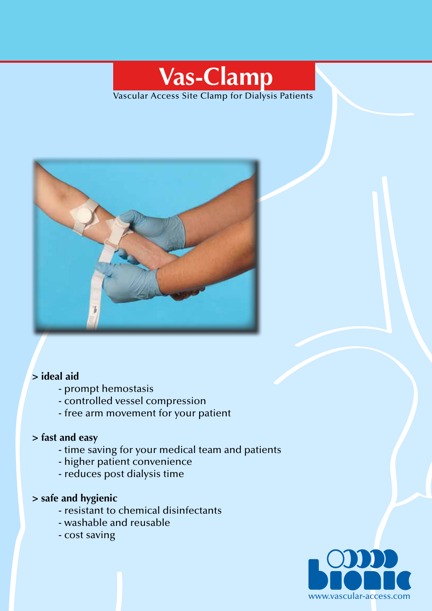# **Vas-Clamp**

Vascular Access Site Clamp for Dialysis Patients



### **> ideal aid**

- prompt hemostasis
- controlled vessel compression
- free arm movement for your patient

#### **> fast and easy**

- time saving for your medical team and patients
- higher patient convenience
- reduces post dialysis time

#### **> safe and hygienic**

- resistant to chemical disinfectants
- washable and reusable
- cost saving